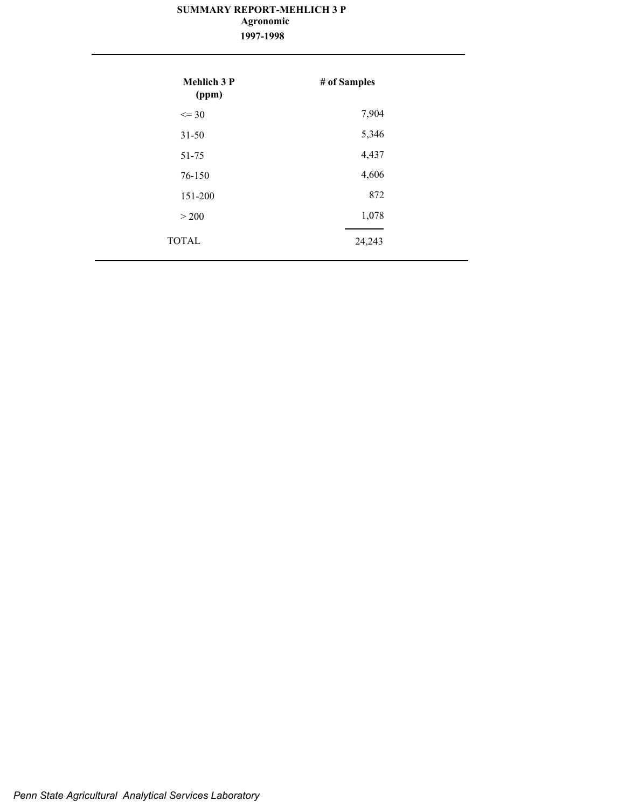### **SUMMARY REPORT-MEHLICH 3 P 1997-1998 Agronomic**

| <b>Mehlich 3 P</b><br>(ppm) | # of Samples |
|-----------------------------|--------------|
| $\leq$ 30                   | 7,904        |
| $31 - 50$                   | 5,346        |
| 51-75                       | 4,437        |
| 76-150                      | 4,606        |
| 151-200                     | 872          |
| > 200                       | 1,078        |
| <b>TOTAL</b>                | 24,243       |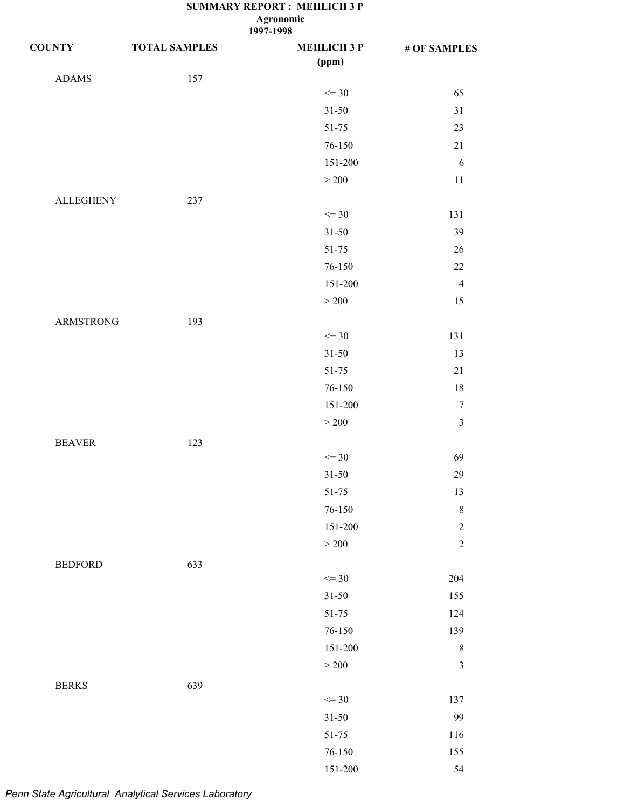| 1997-1998 |  |
|-----------|--|

| <b>COUNTY</b>    | <b>TOTAL SAMPLES</b> | <b>MEHLICH 3 P</b> | # OF SAMPLES     |
|------------------|----------------------|--------------------|------------------|
|                  |                      | (ppm)              |                  |
| <b>ADAMS</b>     | 157                  |                    |                  |
|                  |                      | $\leq$ 30          | 65               |
|                  |                      | $31 - 50$          | $31\,$           |
|                  |                      | 51-75              | $23\,$           |
|                  |                      | 76-150             | $21\,$           |
|                  |                      | 151-200            | $\sqrt{6}$       |
|                  |                      | $>200$             | $11\,$           |
| <b>ALLEGHENY</b> | 237                  |                    |                  |
|                  |                      | $\leq$ 30          | 131              |
|                  |                      | $31 - 50$          | 39               |
|                  |                      | 51-75              | $26\,$           |
|                  |                      | $76 - 150$         | $22\,$           |
|                  |                      | 151-200            | $\overline{4}$   |
|                  |                      | $>200$             | 15               |
| <b>ARMSTRONG</b> | 193                  |                    |                  |
|                  |                      | $\leq$ 30          | 131              |
|                  |                      | $31 - 50$          | 13               |
|                  |                      | 51-75              | $21\,$           |
|                  |                      | 76-150             | $18\,$           |
|                  |                      | 151-200            | $\boldsymbol{7}$ |
|                  |                      | $>200\,$           | $\mathfrak{Z}$   |
| <b>BEAVER</b>    | 123                  |                    |                  |
|                  |                      | $\leq$ 30          | 69               |
|                  |                      | $31 - 50$          | 29               |
|                  |                      | $51 - 75$          | 13               |
|                  |                      | 76-150             | $8\,$            |
|                  |                      | 151-200            | $\overline{2}$   |
|                  |                      | $>200\,$           | $\overline{c}$   |
| <b>BEDFORD</b>   | 633                  |                    |                  |
|                  |                      | $\leq$ 30          | 204              |
|                  |                      | $31 - 50$          | 155              |
|                  |                      | 51-75              | 124              |
|                  |                      | 76-150             | 139              |
|                  |                      | 151-200            | $\,8\,$          |
|                  |                      | $>200$             | $\mathfrak{Z}$   |
|                  |                      |                    |                  |
| <b>BERKS</b>     | 639                  | $\leq$ 30          | 137              |
|                  |                      | $31 - 50$          | 99               |
|                  |                      | 51-75              | 116              |
|                  |                      | $76 - 150$         | 155              |
|                  |                      | $151 - 200$        | 54               |
|                  |                      |                    |                  |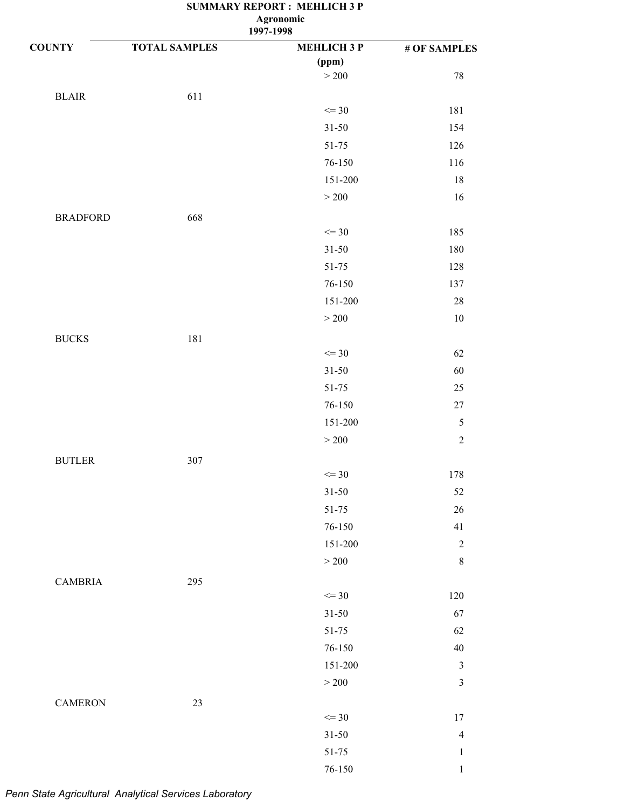| <b>COUNTY</b>   | <b>TOTAL SAMPLES</b> | 177.1<br><b>MEHLICH 3 P</b><br>(ppm) | # OF SAMPLES   |
|-----------------|----------------------|--------------------------------------|----------------|
|                 |                      | $>200$                               | $78\,$         |
| <b>BLAIR</b>    | 611                  |                                      |                |
|                 |                      | $\leq$ 30<br>$31 - 50$               | 181<br>154     |
|                 |                      |                                      |                |
|                 |                      | 51-75                                | 126<br>116     |
|                 |                      | 76-150                               |                |
|                 |                      | 151-200                              | $18\,$         |
|                 |                      | $>200$                               | 16             |
| <b>BRADFORD</b> | 668                  |                                      |                |
|                 |                      | $\leq$ 30                            | 185            |
|                 |                      | $31 - 50$                            | 180            |
|                 |                      | 51-75                                | 128            |
|                 |                      | 76-150                               | 137            |
|                 |                      | 151-200                              | 28             |
|                 |                      | $>200$                               | $10\,$         |
| <b>BUCKS</b>    | 181                  |                                      |                |
|                 |                      | $\leq$ 30                            | 62             |
|                 |                      | $31 - 50$                            | 60             |
|                 |                      | 51-75                                | $25\,$         |
|                 |                      | 76-150                               | $27\,$         |
|                 |                      | 151-200                              | $\mathfrak s$  |
|                 |                      | >200                                 | $\overline{2}$ |
| <b>BUTLER</b>   | 307                  |                                      |                |
|                 |                      | $\leq$ 30                            | 178            |
|                 |                      | $31 - 50$                            | 52             |
|                 |                      | 51-75                                | 26             |
|                 |                      | $76 - 150$                           | 41             |
|                 |                      | 151-200                              | $\sqrt{2}$     |
|                 |                      | $>200$                               | $\,$ $\,$      |
| <b>CAMBRIA</b>  | 295                  |                                      |                |
|                 |                      | $\leq$ 30                            | 120            |
|                 |                      | $31 - 50$                            | 67             |
|                 |                      | 51-75                                | 62             |
|                 |                      | 76-150                               | 40             |
|                 |                      | 151-200                              | $\mathfrak z$  |
|                 |                      | $>200$                               | $\mathfrak{Z}$ |
| <b>CAMERON</b>  | $23\,$               |                                      |                |
|                 |                      | $\leq$ 30                            | 17             |
|                 |                      | $31 - 50$                            | $\overline{4}$ |
|                 |                      | $51 - 75$                            | $\mathbf{1}$   |
|                 |                      | 76-150                               | $\mathbf{1}$   |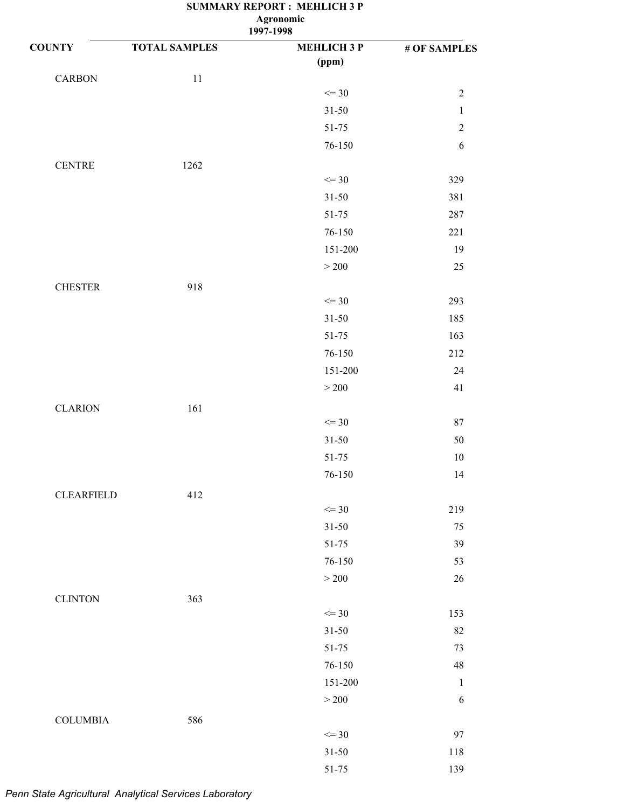| $\Delta \mathbf{g}$ on omne |  |
|-----------------------------|--|
| 1997-1998                   |  |

| <b>COUNTY</b>     | <b>TOTAL SAMPLES</b> | <b>MEHLICH 3 P</b> | # OF SAMPLES |
|-------------------|----------------------|--------------------|--------------|
|                   |                      | (ppm)              |              |
| <b>CARBON</b>     | $11\,$               |                    |              |
|                   |                      | $\leq$ 30          | $\sqrt{2}$   |
|                   |                      | $31 - 50$          | $\mathbf 1$  |
|                   |                      | 51-75              | $\sqrt{2}$   |
|                   |                      | 76-150             | $\sqrt{6}$   |
| <b>CENTRE</b>     | 1262                 |                    |              |
|                   |                      | $\leq$ 30          | 329          |
|                   |                      | $31 - 50$          | 381          |
|                   |                      | 51-75              | 287          |
|                   |                      | 76-150             | 221          |
|                   |                      | 151-200            | 19           |
|                   |                      | $>200$             | $25\,$       |
| <b>CHESTER</b>    | 918                  |                    |              |
|                   |                      | $\leq$ 30          | 293          |
|                   |                      | $31 - 50$          | 185          |
|                   |                      | 51-75              | 163          |
|                   |                      | 76-150             | 212          |
|                   |                      | 151-200            | $24\,$       |
|                   |                      | $>200$             | 41           |
| <b>CLARION</b>    | 161                  |                    |              |
|                   |                      | $\leq$ 30          | $87\,$       |
|                   |                      | $31 - 50$          | 50           |
|                   |                      | 51-75              | 10           |
|                   |                      | 76-150             | 14           |
|                   |                      |                    |              |
| <b>CLEARFIELD</b> | 412                  | $\leq$ 30          | 219          |
|                   |                      | $31 - 50$          | 75           |
|                   |                      | $51 - 75$          | 39           |
|                   |                      | 76-150             | 53           |
|                   |                      | $>200$             | $26\,$       |
|                   |                      |                    |              |
| <b>CLINTON</b>    | 363                  | $\leq$ 30          | 153          |
|                   |                      | $31 - 50$          | 82           |
|                   |                      | 51-75              | 73           |
|                   |                      | 76-150             | 48           |
|                   |                      | 151-200            | $\mathbf{1}$ |
|                   |                      | $>200$             | 6            |
|                   |                      |                    |              |
| <b>COLUMBIA</b>   | 586                  | $\leq$ 30          | 97           |
|                   |                      | $31 - 50$          | 118          |
|                   |                      | $51 - 75$          | 139          |
|                   |                      |                    |              |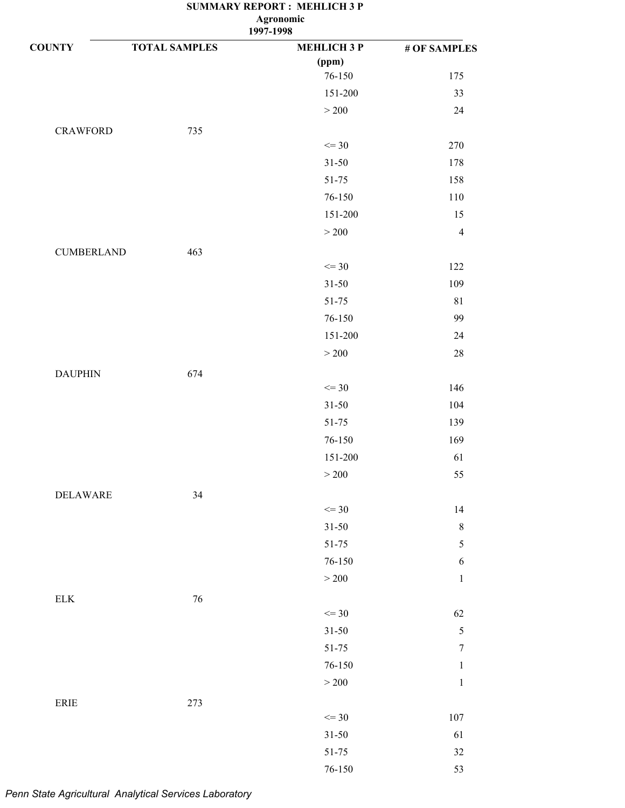| <b>COUNTY</b>                | <b>TOTAL SAMPLES</b> | <b>MEHLICH 3 P</b> | # OF SAMPLES     |
|------------------------------|----------------------|--------------------|------------------|
|                              |                      | (ppm)              |                  |
|                              |                      | 76-150             | 175              |
|                              |                      | 151-200            | 33               |
|                              |                      | $>200$             | 24               |
| <b>CRAWFORD</b>              | 735                  |                    |                  |
|                              |                      | $\leq$ 30          | 270              |
|                              |                      | $31 - 50$          | 178              |
|                              |                      | 51-75              | 158              |
|                              |                      | 76-150             | 110              |
|                              |                      | 151-200            | 15               |
|                              |                      | $>200$             | $\overline{4}$   |
| <b>CUMBERLAND</b>            | 463                  |                    |                  |
|                              |                      | $\leq$ 30          | 122              |
|                              |                      | $31 - 50$          | 109              |
|                              |                      | 51-75              | $81\,$           |
|                              |                      | 76-150             | 99               |
|                              |                      | 151-200            | $24\,$           |
|                              |                      | $>200$             | $28\,$           |
| <b>DAUPHIN</b>               | 674                  |                    |                  |
|                              |                      | $\leq$ 30          | 146              |
|                              |                      | $31 - 50$          | 104              |
|                              |                      | 51-75              | 139              |
|                              |                      | 76-150             | 169              |
|                              |                      | 151-200            | 61               |
|                              |                      | $>200$             | 55               |
| <b>DELAWARE</b>              | 34                   |                    |                  |
|                              |                      | $\leq$ 30          | 14               |
|                              |                      | $31 - 50$          | $\,$ $\,$        |
|                              |                      | $51 - 75$          | $\sqrt{5}$       |
|                              |                      | $76 - 150$         | $\sqrt{6}$       |
|                              |                      | $>200$             | $\mathbf{1}$     |
| ${\rm ELK}$                  | $76\,$               |                    |                  |
|                              |                      | $\leq$ 30          | 62               |
|                              |                      | $31 - 50$          | $\sqrt{5}$       |
|                              |                      | $51 - 75$          | $\boldsymbol{7}$ |
|                              |                      | $76 - 150$         | $\mathbf{1}$     |
|                              |                      | $>200$             | $\,1\,$          |
|                              |                      |                    |                  |
| $\ensuremath{\mathsf{ERIE}}$ | 273                  | $\leq$ 30          | $107\,$          |
|                              |                      | $31 - 50$          | 61               |
|                              |                      | $51 - 75$          | $32\,$           |
|                              |                      | $76 - 150$         | 53               |
|                              |                      |                    |                  |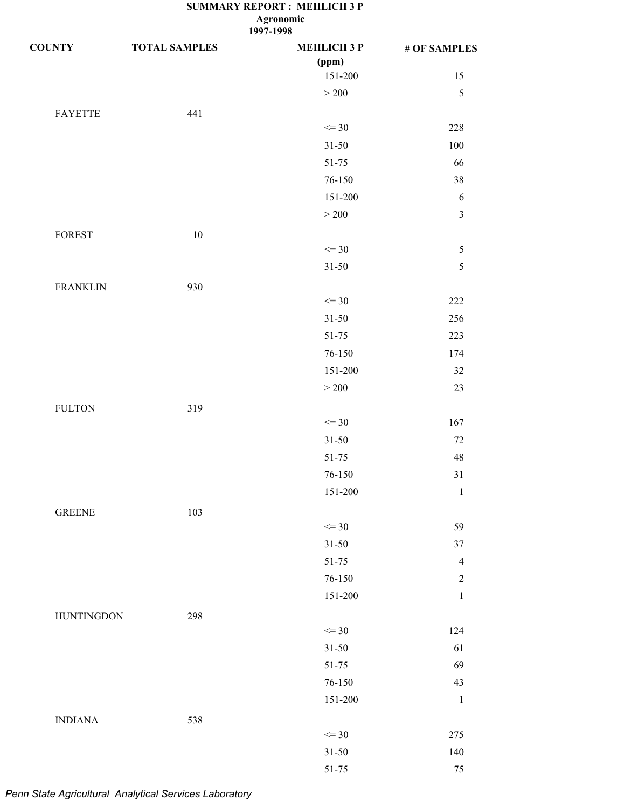**1997-1998**

| <b>COUNTY</b>     | <b>TOTAL SAMPLES</b> | <b>MEHLICH 3 P</b> | # OF SAMPLES   |
|-------------------|----------------------|--------------------|----------------|
|                   |                      | (ppm)              |                |
|                   |                      | 151-200            | 15             |
|                   |                      | $>200$             | $\mathfrak s$  |
| <b>FAYETTE</b>    | 441                  |                    |                |
|                   |                      | $\leq$ 30          | 228            |
|                   |                      | $31 - 50$          | 100            |
|                   |                      | 51-75              | 66             |
|                   |                      | 76-150             | 38             |
|                   |                      | 151-200            | 6              |
|                   |                      | $>200$             | $\overline{3}$ |
| <b>FOREST</b>     | 10                   |                    |                |
|                   |                      | $\leq$ 30          | $\sqrt{5}$     |
|                   |                      | $31 - 50$          | 5              |
| <b>FRANKLIN</b>   | 930                  |                    |                |
|                   |                      | $\leq$ 30          | 222            |
|                   |                      | $31 - 50$          | 256            |
|                   |                      | 51-75              | 223            |
|                   |                      | $76 - 150$         | 174            |
|                   |                      | 151-200            | 32             |
|                   |                      | $>200$             | 23             |
| <b>FULTON</b>     | 319                  |                    |                |
|                   |                      | $\leq$ 30          | 167            |
|                   |                      | $31 - 50$          | 72             |
|                   |                      | $51 - 75$          | 48             |
|                   |                      | $76 - 150$         | $31\,$         |
|                   |                      | 151-200            | $\mathbf{1}$   |
|                   |                      |                    |                |
| <b>GREENE</b>     | 103                  | $\leq$ 30          | 59             |
|                   |                      | $31 - 50$          | 37             |
|                   |                      | 51-75              | $\overline{4}$ |
|                   |                      | 76-150             | $\overline{2}$ |
|                   |                      | 151-200            | $\,1$          |
|                   |                      |                    |                |
| <b>HUNTINGDON</b> | 298                  | $\leq$ 30          | 124            |
|                   |                      | $31 - 50$          | 61             |
|                   |                      | 51-75              | 69             |
|                   |                      | 76-150             | 43             |
|                   |                      | 151-200            | $\mathbf{1}$   |
|                   |                      |                    |                |
| <b>INDIANA</b>    | 538                  | $\leq$ 30          | 275            |
|                   |                      |                    |                |
|                   |                      | $31 - 50$          | 140            |
|                   |                      | $51 - 75$          | 75             |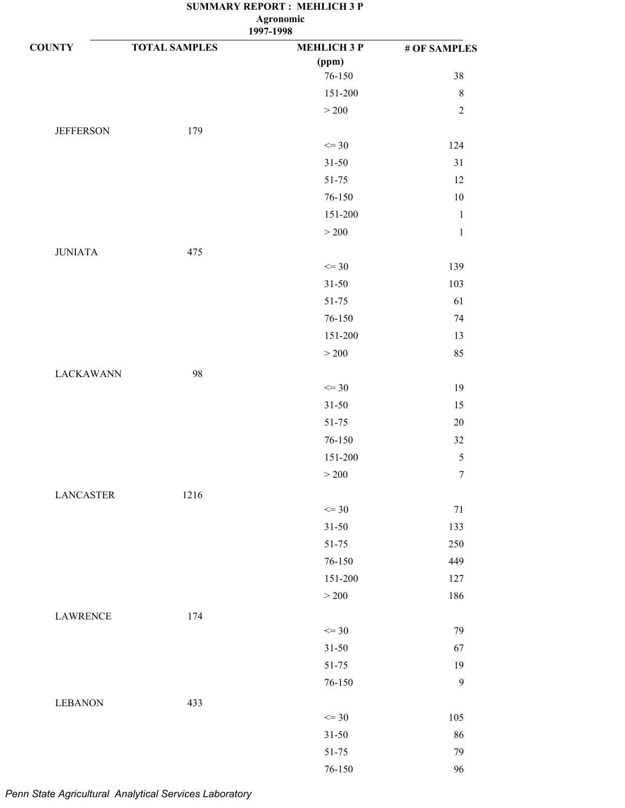**1997-1998**

| <b>COUNTY</b>    | <b>TOTAL SAMPLES</b> | <b>MEHLICH 3 P</b> | # OF SAMPLES     |
|------------------|----------------------|--------------------|------------------|
|                  |                      | (ppm)              |                  |
|                  |                      | 76-150             | 38               |
|                  |                      | 151-200            | $\,8\,$          |
|                  |                      | $>200$             | $\sqrt{2}$       |
| <b>JEFFERSON</b> | 179                  |                    |                  |
|                  |                      | $\leq$ 30          | 124              |
|                  |                      | $31 - 50$          | 31               |
|                  |                      | 51-75              | 12               |
|                  |                      | 76-150             | $10\,$           |
|                  |                      | 151-200            | $\,1\,$          |
|                  |                      | $>200$             | $\mathbf{1}$     |
| <b>JUNIATA</b>   | 475                  |                    |                  |
|                  |                      | $\leq$ 30          | 139              |
|                  |                      | $31 - 50$          | 103              |
|                  |                      | 51-75              | 61               |
|                  |                      | 76-150             | 74               |
|                  |                      | 151-200            | 13               |
|                  |                      | $>200\,$           | 85               |
| <b>LACKAWANN</b> | 98                   |                    |                  |
|                  |                      | $\leq$ 30          | 19               |
|                  |                      | $31 - 50$          | 15               |
|                  |                      | 51-75              | $20\,$           |
|                  |                      | 76-150             | 32               |
|                  |                      | 151-200            | $\mathfrak s$    |
|                  |                      | $>200$             | $\boldsymbol{7}$ |
| <b>LANCASTER</b> | 1216                 |                    |                  |
|                  |                      | $\leq$ 30          | $71\,$           |
|                  |                      | $31 - 50$          | 133              |
|                  |                      | 51-75              | 250              |
|                  |                      | 76-150             | 449              |
|                  |                      | 151-200            | 127              |
|                  |                      | $>200$             | 186              |
| <b>LAWRENCE</b>  | 174                  |                    |                  |
|                  |                      | $\leq$ 30          | 79               |
|                  |                      | $31 - 50$          | 67               |
|                  |                      | 51-75              | 19               |
|                  |                      | 76-150             | $\boldsymbol{9}$ |
| <b>LEBANON</b>   | 433                  |                    |                  |
|                  |                      | $\leq$ 30          | 105              |
|                  |                      | $31 - 50$          | 86               |
|                  |                      | 51-75              | 79               |
|                  |                      | 76-150             | 96               |
|                  |                      |                    |                  |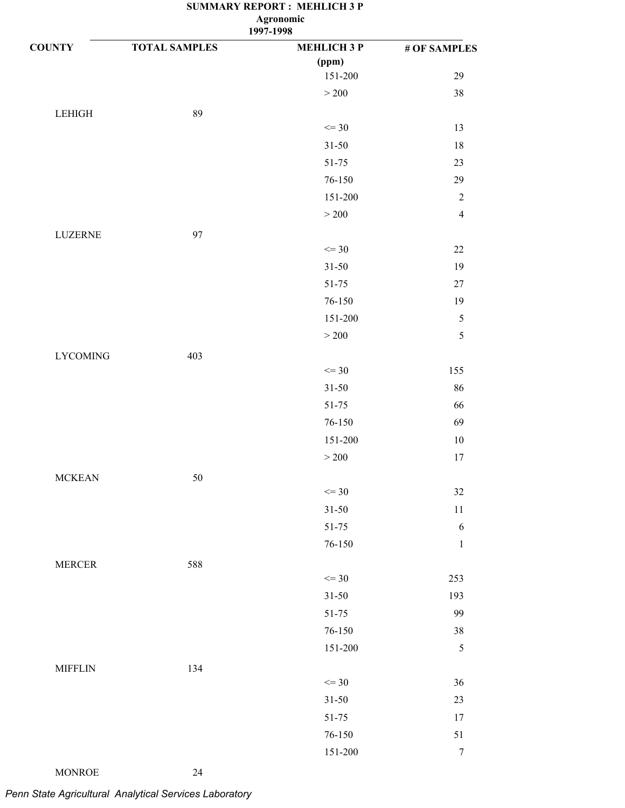**1997-1998**

| <b>COUNTY</b>   | <b>TOTAL SAMPLES</b> | <b>MEHLICH 3 P</b> | # OF SAMPLES     |
|-----------------|----------------------|--------------------|------------------|
|                 |                      | (ppm)              |                  |
|                 |                      | 151-200            | 29               |
|                 |                      | $>200\,$           | 38               |
| $\tt LEHIGH$    | 89                   |                    |                  |
|                 |                      | $\leq$ 30          | 13               |
|                 |                      | $31 - 50$          | 18               |
|                 |                      | 51-75              | 23               |
|                 |                      | 76-150             | 29               |
|                 |                      | 151-200            | $\sqrt{2}$       |
|                 |                      | $>200$             | $\overline{4}$   |
| LUZERNE         | 97                   |                    |                  |
|                 |                      | $\leq$ 30          | $22\,$           |
|                 |                      | $31 - 50$          | 19               |
|                 |                      | $51 - 75$          | $27\,$           |
|                 |                      | 76-150             | 19               |
|                 |                      | 151-200            | $\sqrt{5}$       |
|                 |                      | $>200$             | 5                |
| <b>LYCOMING</b> | 403                  |                    |                  |
|                 |                      | $\leq$ 30          | 155              |
|                 |                      | $31 - 50$          | 86               |
|                 |                      | 51-75              | 66               |
|                 |                      | 76-150             | 69               |
|                 |                      | 151-200            | $10\,$           |
|                 |                      | $>200\,$           | 17               |
| <b>MCKEAN</b>   | 50                   |                    |                  |
|                 |                      | $\leq$ 30          | 32               |
|                 |                      | $31 - 50$          | 11               |
|                 |                      | 51-75              | 6                |
|                 |                      | $76 - 150$         | $\,1\,$          |
| <b>MERCER</b>   | 588                  |                    |                  |
|                 |                      | $\leq$ 30          | 253              |
|                 |                      | $31 - 50$          | 193              |
|                 |                      | 51-75              | 99               |
|                 |                      | $76 - 150$         | 38               |
|                 |                      | 151-200            | 5                |
| <b>MIFFLIN</b>  | 134                  |                    |                  |
|                 |                      | $\leq$ 30          | 36               |
|                 |                      | $31 - 50$          | 23               |
|                 |                      | $51 - 75$          | 17               |
|                 |                      | $76 - 150$         | 51               |
|                 |                      | 151-200            | $\boldsymbol{7}$ |
|                 |                      |                    |                  |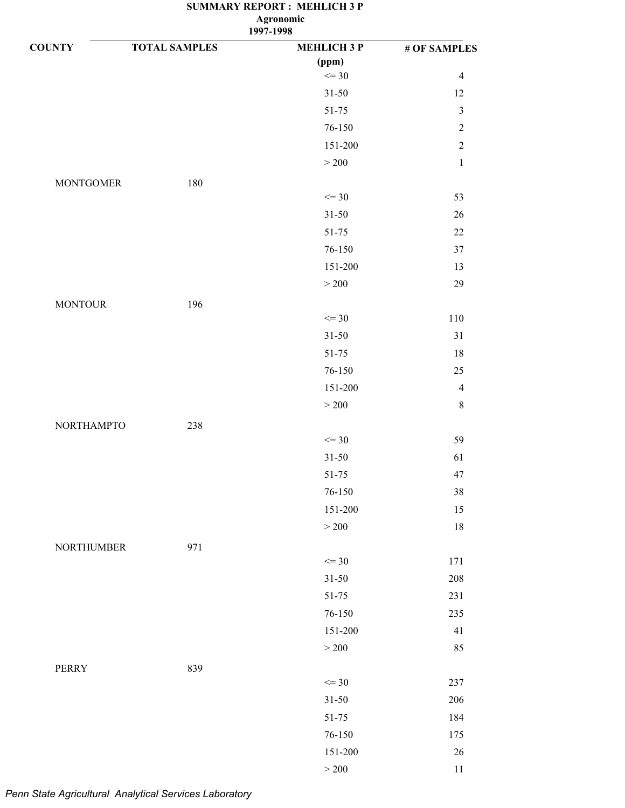| <b>COUNTY</b>     | <b>TOTAL SAMPLES</b> | <b>MEHLICH 3 P</b> | # OF SAMPLES   |
|-------------------|----------------------|--------------------|----------------|
|                   |                      | (ppm)              |                |
|                   |                      | $\leq$ 30          | $\overline{4}$ |
|                   |                      | $31 - 50$          | 12             |
|                   |                      | $51 - 75$          | $\mathfrak{Z}$ |
|                   |                      | 76-150             | $\sqrt{2}$     |
|                   |                      | 151-200            | $\overline{c}$ |
|                   |                      | $>200$             | $\mathbf 1$    |
| <b>MONTGOMER</b>  | 180                  |                    |                |
|                   |                      | $\leq$ 30          | 53             |
|                   |                      | $31 - 50$          | $26\,$         |
|                   |                      | 51-75              | $22\,$         |
|                   |                      | 76-150             | $37\,$         |
|                   |                      | 151-200            | 13             |
|                   |                      | $>200$             | 29             |
| <b>MONTOUR</b>    | 196                  |                    |                |
|                   |                      | $\leq$ 30          | 110            |
|                   |                      | $31 - 50$          | 31             |
|                   |                      | 51-75              | 18             |
|                   |                      | 76-150             | 25             |
|                   |                      | 151-200            | $\overline{4}$ |
|                   |                      | $>200$             | $\,8\,$        |
| <b>NORTHAMPTO</b> | 238                  |                    |                |
|                   |                      | $\leq$ 30          | 59             |
|                   |                      | $31 - 50$          | 61             |
|                   |                      | 51-75              | 47             |
|                   |                      | 76-150             | 38             |
|                   |                      | 151-200            | 15             |
|                   |                      | $>200$             | $18\,$         |
| <b>NORTHUMBER</b> | 971                  |                    |                |
|                   |                      | $\leq$ 30          | 171            |
|                   |                      | $31 - 50$          | 208            |
|                   |                      | 51-75              | 231            |
|                   |                      | 76-150             | 235            |
|                   |                      | 151-200            | 41             |
|                   |                      | $>200$             | 85             |
| PERRY             | 839                  |                    |                |
|                   |                      | $\leq$ 30          | 237            |
|                   |                      | $31 - 50$          | 206            |
|                   |                      | 51-75              | 184            |
|                   |                      | 76-150             | 175            |
|                   |                      | 151-200            | $26\,$         |
|                   |                      | $>200\,$           | 11             |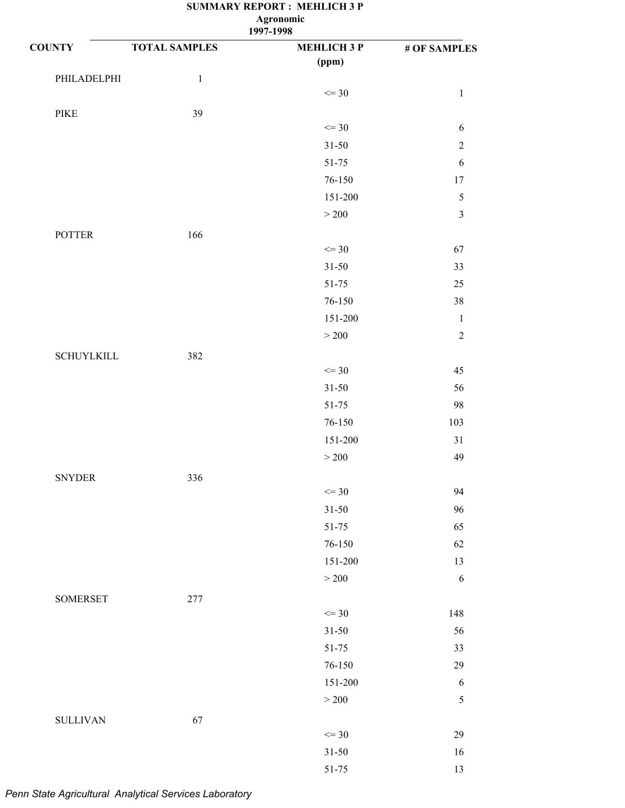### **SUMMARY REPORT : MEHLICH 3 P 1997-1998 Agronomic**

| <b>COUNTY</b>                | <b>TOTAL SAMPLES</b> | <b>MEHLICH 3 P</b> | # OF SAMPLES   |
|------------------------------|----------------------|--------------------|----------------|
|                              |                      | (ppm)              |                |
| PHILADELPHI                  | $\mathbf{1}$         |                    |                |
|                              |                      | $\leq$ 30          | $\mathbf{1}$   |
| $\ensuremath{\mathsf{PIKE}}$ | 39                   |                    |                |
|                              |                      | $\leq$ 30          | 6              |
|                              |                      | $31 - 50$          | $\sqrt{2}$     |
|                              |                      | 51-75              | $\sqrt{6}$     |
|                              |                      | 76-150             | $17\,$         |
|                              |                      | 151-200            | $\sqrt{5}$     |
|                              |                      | $>200$             | $\mathfrak{Z}$ |
| <b>POTTER</b>                | 166                  |                    |                |
|                              |                      | $\leq$ 30          | 67             |
|                              |                      | $31 - 50$          | 33             |
|                              |                      | 51-75              | $25\,$         |
|                              |                      | 76-150             | 38             |
|                              |                      | 151-200            | $\mathbf{1}$   |
|                              |                      | >200               | $\overline{2}$ |
| <b>SCHUYLKILL</b>            | 382                  |                    |                |
|                              |                      | $\leq$ 30          | 45             |
|                              |                      | $31 - 50$          | 56             |
|                              |                      | 51-75              | 98             |
|                              |                      | 76-150             | 103            |
|                              |                      | 151-200            | 31             |
|                              |                      | $>200$             | 49             |
| <b>SNYDER</b>                | 336                  |                    |                |
|                              |                      | $\leq$ 30          | 94             |
|                              |                      | $31 - 50$          | 96             |
|                              |                      | $51 - 75$          | 65             |
|                              |                      | 76-150             | 62             |
|                              |                      | 151-200            | 13             |
|                              |                      | $>200$             | $\sqrt{6}$     |
| <b>SOMERSET</b>              | 277                  |                    |                |
|                              |                      | $\leq$ 30          | 148            |
|                              |                      | $31 - 50$          | 56             |
|                              |                      | 51-75              | 33             |
|                              |                      | 76-150             | 29             |
|                              |                      | 151-200            | $\sqrt{6}$     |
|                              |                      | $>200$             | $\mathfrak s$  |
| <b>SULLIVAN</b>              | 67                   |                    |                |
|                              |                      | $\leq$ 30          | 29             |
|                              |                      | $31 - 50$          | 16             |

3 51-75 13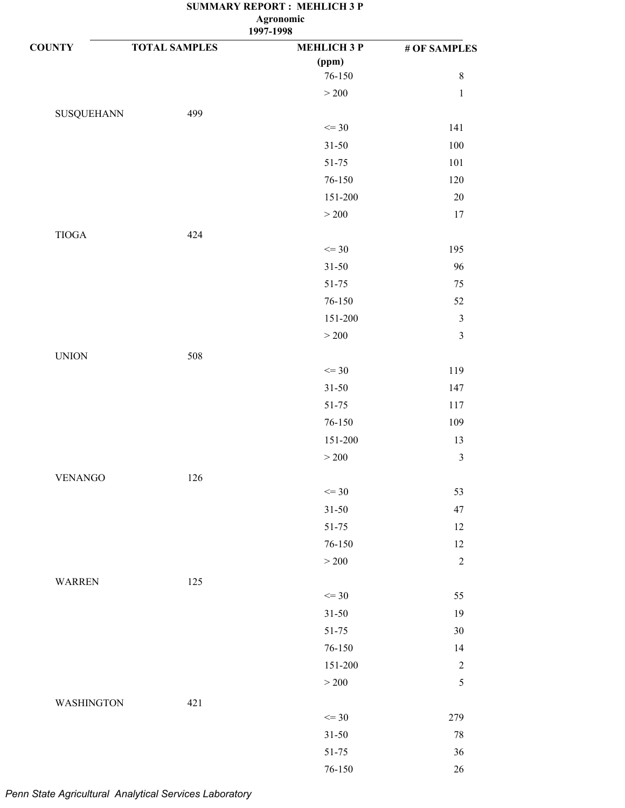| <b>COUNTY</b>     | <b>TOTAL SAMPLES</b> | <b>MEHLICH 3 P</b> | # OF SAMPLES   |
|-------------------|----------------------|--------------------|----------------|
|                   |                      | (ppm)              |                |
|                   |                      | 76-150             | $\,8\,$        |
|                   |                      | $>200$             | $\,1$          |
| <b>SUSQUEHANN</b> | 499                  |                    |                |
|                   |                      | $\leq$ 30          | 141            |
|                   |                      | $31 - 50$          | 100            |
|                   |                      | 51-75              | 101            |
|                   |                      | 76-150             | 120            |
|                   |                      | 151-200            | $20\,$         |
|                   |                      | $>200$             | 17             |
| $TIOGA$           | 424                  |                    |                |
|                   |                      | $\leq$ 30          | 195            |
|                   |                      | $31 - 50$          | 96             |
|                   |                      | $51 - 75$          | 75             |
|                   |                      | 76-150             | 52             |
|                   |                      | 151-200            | $\mathfrak z$  |
|                   |                      | $>200$             | $\sqrt{3}$     |
| <b>UNION</b>      | 508                  |                    |                |
|                   |                      | $\leq$ 30          | 119            |
|                   |                      | $31 - 50$          | 147            |
|                   |                      | 51-75              | 117            |
|                   |                      | $76 - 150$         | 109            |
|                   |                      | 151-200            | 13             |
|                   |                      | $>200$             | $\mathfrak{Z}$ |
| <b>VENANGO</b>    | 126                  |                    |                |
|                   |                      | $\leq$ 30          | 53             |
|                   |                      | $31 - 50$          | 47             |
|                   |                      | $51 - 75$          | 12             |
|                   |                      | 76-150             | $12\,$         |
|                   |                      | $>200$             | $\sqrt{2}$     |
| <b>WARREN</b>     | 125                  |                    |                |
|                   |                      | $\leq$ 30          | 55             |
|                   |                      | $31 - 50$          | 19             |
|                   |                      | $51 - 75$          | $30\,$         |
|                   |                      | $76 - 150$         | 14             |
|                   |                      | 151-200            | $\sqrt{2}$     |
|                   |                      | $>200$             | $\sqrt{5}$     |
| <b>WASHINGTON</b> | 421                  |                    |                |
|                   |                      | $\leq$ 30          | 279            |
|                   |                      | $31 - 50$          | $78\,$         |
|                   |                      | $51 - 75$          | $36\,$         |
|                   |                      | $76 - 150$         | $26\,$         |